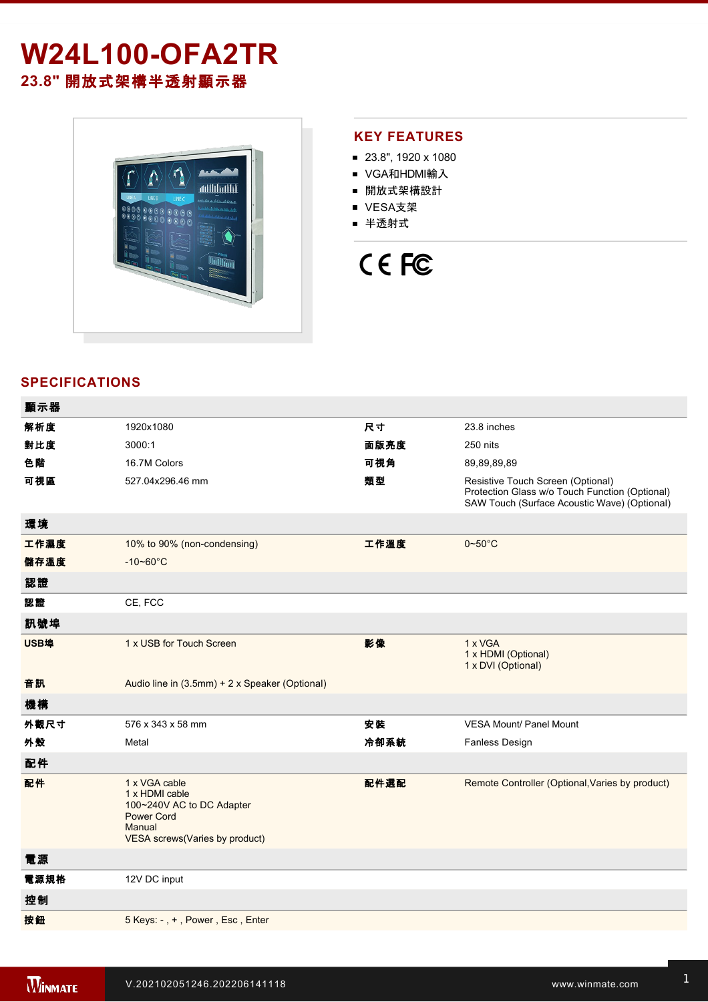## **W24L100-OFA2TR 23.8"** 開放式架構半透射顯示器



#### **KEY FEATURES**

- 23.8", 1920 x 1080
- VGA和HDMI輸入
- 開放式架構設計
- VESA支架
- 半透射式

# CE FC

### **SPECIFICATIONS**

| 顯示器  |                                                                                                                               |      |                                                                                                                                     |
|------|-------------------------------------------------------------------------------------------------------------------------------|------|-------------------------------------------------------------------------------------------------------------------------------------|
| 解析度  | 1920x1080                                                                                                                     | 尺寸   | 23.8 inches                                                                                                                         |
| 對比度  | 3000:1                                                                                                                        | 面版亮度 | 250 nits                                                                                                                            |
| 色階   | 16.7M Colors                                                                                                                  | 可視角  | 89,89,89,89                                                                                                                         |
| 可視區  | 527.04x296.46 mm                                                                                                              | 類型   | Resistive Touch Screen (Optional)<br>Protection Glass w/o Touch Function (Optional)<br>SAW Touch (Surface Acoustic Wave) (Optional) |
| 環境   |                                                                                                                               |      |                                                                                                                                     |
| 工作濕度 | 10% to 90% (non-condensing)                                                                                                   | 工作溫度 | $0 - 50$ °C                                                                                                                         |
| 儲存溫度 | $-10 - 60^{\circ}C$                                                                                                           |      |                                                                                                                                     |
| 認證   |                                                                                                                               |      |                                                                                                                                     |
| 認證   | CE, FCC                                                                                                                       |      |                                                                                                                                     |
| 訊號埠  |                                                                                                                               |      |                                                                                                                                     |
| USB埠 | 1 x USB for Touch Screen                                                                                                      | 影像   | 1 x VGA<br>1 x HDMI (Optional)<br>1 x DVI (Optional)                                                                                |
| 音訊   | Audio line in (3.5mm) + 2 x Speaker (Optional)                                                                                |      |                                                                                                                                     |
| 機構   |                                                                                                                               |      |                                                                                                                                     |
| 外觀尺寸 | 576 x 343 x 58 mm                                                                                                             | 安装   | <b>VESA Mount/ Panel Mount</b>                                                                                                      |
| 外殼   | Metal                                                                                                                         | 冷卻系統 | <b>Fanless Design</b>                                                                                                               |
| 配件   |                                                                                                                               |      |                                                                                                                                     |
| 配件   | 1 x VGA cable<br>1 x HDMI cable<br>100~240V AC to DC Adapter<br><b>Power Cord</b><br>Manual<br>VESA screws(Varies by product) | 配件選配 | Remote Controller (Optional, Varies by product)                                                                                     |
| 電源   |                                                                                                                               |      |                                                                                                                                     |
| 電源規格 | 12V DC input                                                                                                                  |      |                                                                                                                                     |
| 控制   |                                                                                                                               |      |                                                                                                                                     |
| 按鈕   | 5 Keys: -, +, Power, Esc, Enter                                                                                               |      |                                                                                                                                     |
|      |                                                                                                                               |      |                                                                                                                                     |

**DIMENSIONS**  UNIT:MM